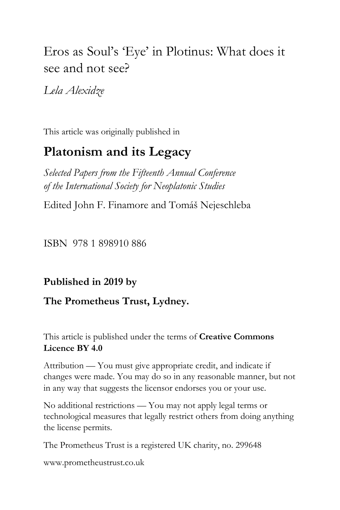# Eros as Soul's 'Eye' in Plotinus: What does it see and not see?

*Lela Alexidze*

This article was originally published in

# **Platonism and its Legacy**

*Selected Papers from the Fifteenth Annual Conference of the International Society for Neoplatonic Studies*

Edited John F. Finamore and Tomáš Nejeschleba

ISBN 978 1 898910 886

# **Published in 2019 by**

# **The Prometheus Trust, Lydney.**

This article is published under the terms of **Creative Commons Licence BY 4.0**

Attribution — You must give appropriate credit, and indicate if changes were made. You may do so in any reasonable manner, but not in any way that suggests the licensor endorses you or your use.

No additional restrictions — You may not apply legal terms or technological measures that legally restrict others from doing anything the license permits.

The Prometheus Trust is a registered UK charity, no. 299648

[www.prometheustrust.co.uk](http://www.prometheustrust.co.uk/)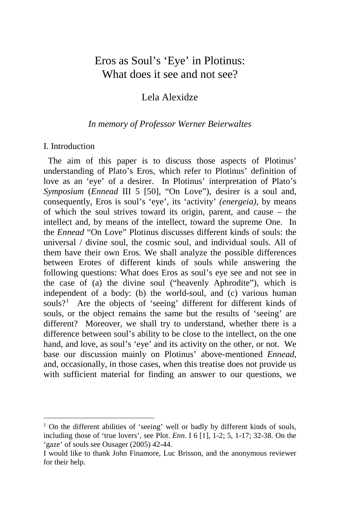# Eros as Soul's 'Eye' in Plotinus: What does it see and not see?

## Lela Alexidze

## *In memory of Professor Werner Beierwaltes*

### I. Introduction

 The aim of this paper is to discuss those aspects of Plotinus' understanding of Plato's Eros, which refer to Plotinus' definition of love as an 'eye' of a desirer. In Plotinus' interpretation of Plato's *Symposium* (*Ennead* III 5 [50], "On Love"), desirer is a soul and, consequently, Eros is soul's 'eye', its 'activity' *(energeia)*, by means of which the soul strives toward its origin, parent, and cause – the intellect and, by means of the intellect, toward the supreme One. In the *Ennead* "On Love" Plotinus discusses different kinds of souls: the universal / divine soul, the cosmic soul, and individual souls. All of them have their own Eros. We shall analyze the possible differences between Erotes of different kinds of souls while answering the following questions: What does Eros as soul's eye see and not see in the case of (a) the divine soul ("heavenly Aphrodite"), which is independent of a body: (b) the world-soul, and (c) various human souls?<sup>[1](#page-1-0)</sup> Are the objects of 'seeing' different for different kinds of souls, or the object remains the same but the results of 'seeing' are different? Moreover, we shall try to understand, whether there is a difference between soul's ability to be close to the intellect, on the one hand, and love, as soul's 'eye' and its activity on the other, or not. We base our discussion mainly on Plotinus' above-mentioned *Ennead*, and, occasionally, in those cases, when this treatise does not provide us with sufficient material for finding an answer to our questions, we

<span id="page-1-0"></span><sup>&</sup>lt;sup>1</sup> On the different abilities of 'seeing' well or badly by different kinds of souls, including those of 'true lovers', see Plot. *Enn.* I 6 [1], 1-2; 5, 1-17; 32-38. On the 'gaze' of souls see Ousager (2005) 42-44.

I would like to thank John Finamore, Luc Brisson, and the anonymous reviewer for their help.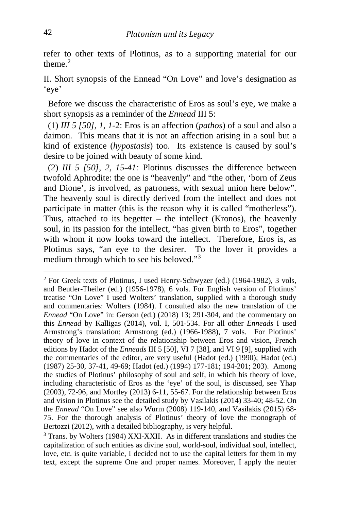refer to other texts of Plotinus, as to a supporting material for our theme $^2$  $^2$ 

II. Short synopsis of the Ennead "On Love" and love's designation as 'eye'

 Before we discuss the characteristic of Eros as soul's eye, we make a short synopsis as a reminder of the *Ennead* III 5:

 (1) *III 5 [50], 1, 1*-2: Eros is an affection (*pathos*) of a soul and also a daimon. This means that it is not an affection arising in a soul but a kind of existence (*hypostasis*) too. Its existence is caused by soul's desire to be joined with beauty of some kind.

 (2) *III 5 [50], 2, 15-41:* Plotinus discusses the difference between twofold Aphrodite: the one is "heavenly" and "the other, 'born of Zeus and Dione', is involved, as patroness, with sexual union here below". The heavenly soul is directly derived from the intellect and does not participate in matter (this is the reason why it is called "motherless"). Thus, attached to its begetter – the intellect (Kronos), the heavenly soul, in its passion for the intellect, "has given birth to Eros", together with whom it now looks toward the intellect. Therefore, Eros is, as Plotinus says, "an eye to the desirer. To the lover it provides a medium through which to see his beloved."[3](#page-2-1)

<span id="page-2-0"></span><sup>2</sup> For Greek texts of Plotinus, I used Henry-Schwyzer (ed.) (1964-1982), 3 vols, and Beutler-Theiler (ed.) (1956-1978), 6 vols. For English version of Plotinus' treatise "On Love" I used Wolters' translation, supplied with a thorough study and commentaries: Wolters (1984). I consulted also the new translation of the *Ennead* "On Love" in: Gerson (ed.) (2018) 13; 291-304, and the commentary on this *Ennead* by Kalligas (2014), vol. I, 501-534. For all other *Enneads* I used Armstrong's translation: Armstrong (ed.) (1966-1988), 7 vols. For Plotinus' theory of love in context of the relationship between Eros and vision, French editions by Hadot of the *Enneads* III 5 [50], VI 7 [38], and VI 9 [9], supplied with the commentaries of the editor, are very useful (Hadot (ed.) (1990); Hadot (ed.) (1987) 25-30, 37-41, 49-69; Hadot (ed.) (1994) 177-181; 194-201; 203). Among the studies of Plotinus' philosophy of soul and self, in which his theory of love, including characteristic of Eros as the 'eye' of the soul, is discussed, see Yhap (2003), 72-96, and Mortley (2013) 6-11, 55-67. For the relationship between Eros and vision in Plotinus see the detailed study by Vasilakis (2014) 33-40; 48-52. On the *Ennead* "On Love" see also Wurm (2008) 119-140, and Vasilakis (2015) 68- 75. For the thorough analysis of Plotinus' theory of love the monograph of Bertozzi (2012), with a detailed bibliography, is very helpful.

<span id="page-2-1"></span><sup>3</sup> Trans. by Wolters (1984) XXI-XXII. As in different translations and studies the capitalization of such entities as divine soul, world-soul, individual soul, intellect, love, etc. is quite variable, I decided not to use the capital letters for them in my text, except the supreme One and proper names. Moreover, I apply the neuter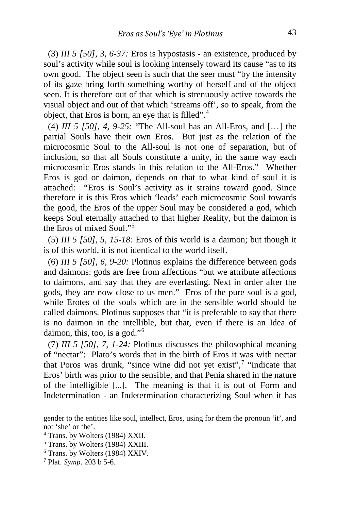(3) *III 5 [50], 3, 6-37:* Eros is hypostasis - an existence, produced by soul's activity while soul is looking intensely toward its cause "as to its own good. The object seen is such that the seer must "by the intensity of its gaze bring forth something worthy of herself and of the object seen. It is therefore out of that which is strenuously active towards the visual object and out of that which 'streams off', so to speak, from the object, that Eros is born, an eye that is filled".<sup>[4](#page-3-0)</sup>

 (4) *III 5 [50], 4, 9-25:* "The All-soul has an All-Eros, and […] the partial Souls have their own Eros. But just as the relation of the microcosmic Soul to the All-soul is not one of separation, but of inclusion, so that all Souls constitute a unity, in the same way each microcosmic Eros stands in this relation to the All-Eros." Whether Eros is god or daimon, depends on that to what kind of soul it is attached: "Eros is Soul's activity as it strains toward good. Since therefore it is this Eros which 'leads' each microcosmic Soul towards the good, the Eros of the upper Soul may be considered a god, which keeps Soul eternally attached to that higher Reality, but the daimon is the Eros of mixed Soul."[5](#page-3-1)

 (5) *III 5 [50], 5, 15-18:* Eros of this world is a daimon; but though it is of this world, it is not identical to the world itself.

 (6) *III 5 [50], 6, 9-20:* Plotinus explains the difference between gods and daimons: gods are free from affections "but we attribute affections to daimons, and say that they are everlasting. Next in order after the gods, they are now close to us men." Eros of the pure soul is a god, while Erotes of the souls which are in the sensible world should be called daimons. Plotinus supposes that "it is preferable to say that there is no daimon in the intellible, but that, even if there is an Idea of daimon, this, too, is a god."[6](#page-3-2)

 (7) *III 5 [50], 7, 1-24:* Plotinus discusses the philosophical meaning of "nectar": Plato's words that in the birth of Eros it was with nectar that Poros was drunk, "since wine did not yet exist", $7$  "indicate that Eros' birth was prior to the sensible, and that Penia shared in the nature of the intelligible [...]. The meaning is that it is out of Form and Indetermination - an Indetermination characterizing Soul when it has

gender to the entities like soul, intellect, Eros, using for them the pronoun 'it', and not 'she' or 'he'.

<span id="page-3-0"></span><sup>4</sup> Trans. by Wolters (1984) XXII.

<span id="page-3-1"></span><sup>5</sup> Trans. by Wolters (1984) XXIII.

<span id="page-3-2"></span><sup>6</sup> Trans. by Wolters (1984) XXIV.

<span id="page-3-3"></span><sup>7</sup> Plat. *Symp*. 203 b 5-6.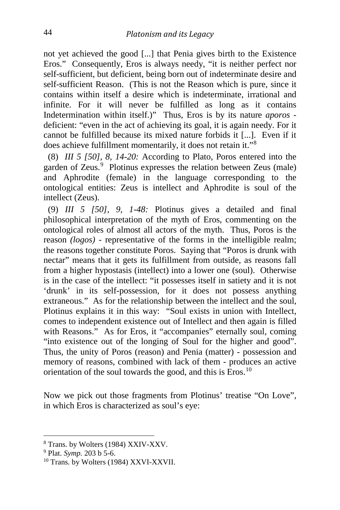not yet achieved the good [...] that Penia gives birth to the Existence Eros." Consequently, Eros is always needy, "it is neither perfect nor self-sufficient, but deficient, being born out of indeterminate desire and self-sufficient Reason. (This is not the Reason which is pure, since it contains within itself a desire which is indeterminate, irrational and infinite. For it will never be fulfilled as long as it contains Indetermination within itself.)" Thus, Eros is by its nature *aporos* deficient: "even in the act of achieving its goal, it is again needy. For it cannot be fulfilled because its mixed nature forbids it [...]. Even if it does achieve fulfillment momentarily, it does not retain it."[8](#page-4-0)

 (8) *III 5 [50], 8, 14-20:* According to Plato, Poros entered into the garden of Zeus.<sup>[9](#page-4-1)</sup> Plotinus expresses the relation between Zeus (male) and Aphrodite (female) in the language corresponding to the ontological entities: Zeus is intellect and Aphrodite is soul of the intellect (Zeus).

 (9) *III 5 [50], 9, 1-48:* Plotinus gives a detailed and final philosophical interpretation of the myth of Eros, commenting on the ontological roles of almost all actors of the myth. Thus, Poros is the reason *(logos)* - representative of the forms in the intelligible realm; the reasons together constitute Poros. Saying that "Poros is drunk with nectar" means that it gets its fulfillment from outside, as reasons fall from a higher hypostasis (intellect) into a lower one (soul). Otherwise is in the case of the intellect: "it possesses itself in satiety and it is not 'drunk' in its self-possession, for it does not possess anything extraneous." As for the relationship between the intellect and the soul, Plotinus explains it in this way: "Soul exists in union with Intellect, comes to independent existence out of Intellect and then again is filled with Reasons." As for Eros, it "accompanies" eternally soul, coming "into existence out of the longing of Soul for the higher and good". Thus, the unity of Poros (reason) and Penia (matter) - possession and memory of reasons, combined with lack of them - produces an active orientation of the soul towards the good, and this is Eros.<sup>[10](#page-4-2)</sup>

Now we pick out those fragments from Plotinus' treatise "On Love"*,*  in which Eros is characterized as soul's eye:

<span id="page-4-0"></span><sup>8</sup> Trans. by Wolters (1984) XXIV-XXV.

<span id="page-4-1"></span><sup>9</sup> Plat. *Symp.* 203 b 5-6.

<span id="page-4-2"></span><sup>&</sup>lt;sup>10</sup> Trans. by Wolters (1984) XXVI-XXVII.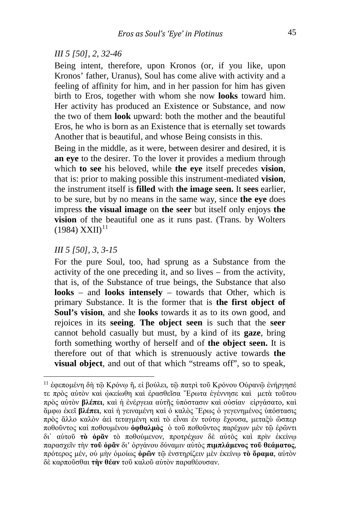#### *III 5 [50], 2, 32-46*

Being intent, therefore, upon Kronos (or, if you like, upon Kronos' father, Uranus), Soul has come alive with activity and a feeling of affinity for him, and in her passion for him has given birth to Eros, together with whom she now **looks** toward him. Her activity has produced an Existence or Substance, and now the two of them **look** upward: both the mother and the beautiful Eros, he who is born as an Existence that is eternally set towards Another that is beautiful, and whose Being consists in this.

Being in the middle, as it were, between desirer and desired, it is **an eye** to the desirer. To the lover it provides a medium through which **to see** his beloved, while **the eye** itself precedes **vision**, that is: prior to making possible this instrument-mediated **vision**, the instrument itself is **filled** with **the image seen.** It **sees** earlier, to be sure, but by no means in the same way, since **the eye** does impress **the visual image** on **the seer** but itself only enjoys **the vision** of the beautiful one as it runs past. (Trans. by Wolters  $(1984)$  XXII)<sup>[11](#page-5-0)</sup>

#### *III 5 [50], 3, 3-15*

For the pure Soul, too, had sprung as a Substance from the activity of the one preceding it, and so lives – from the activity, that is, of the Substance of true beings, the Substance that also **looks** – and **looks intensely** – towards that Other, which is primary Substance. It is the former that is **the first object of Soul's vision**, and she **looks** towards it as to its own good, and rejoices in its **seeing**. **The object seen** is such that the **seer** cannot behold casually but must, by a kind of its **gaze**, bring forth something worthy of herself and of **the object seen.** It is therefore out of that which is strenuously active towards **the visual object**, and out of that which "streams off", so to speak,

<span id="page-5-0"></span><sup>&</sup>lt;sup>11</sup> έφεπομένη δὴ τῷ Κρόνῳ ἤ, εἰ βούλει, τῷ πατρὶ τοῦ Κρόνου Οὐρανῷ ἐνήργησέ τε πρὸς αὐτὸν καὶ ᾠκείωθη καὶ ἐρασθεῖσα ῎Ερωτα ἐγέννησε καὶ μετὰ τοῦτου πρὸς αὐτὸν **βλέπει**, καὶ ἡ ἐνέργεια αὐτῆς ὑπόστασιν καὶ οὐσίαν εἰργάσατο, καὶ ἄμφω ἐκεῖ **βλέπει**, καὶ ἡ γειναμένη καὶ ὁ καλὸς ῎Ερως ὁ γεγενημένος ὑπόστασις πρὸς ἄλλο καλὸν ἀεὶ τεταγμένη καὶ τὸ εἶναι ἐν τούτῳ ἔχουσα, μεταξὺ ὥσπερ ποθοῦντος καὶ ποθουμένου **ὀφθαλμὸς** ὁ τοῦ ποθοῦντος παρέχων μὲν τῷ ἐρῶντι δι᾽ αὑτοῦ **τὸ ὁρᾶν** τὸ ποθούμενον, προτρέχων δὲ αὐτὸς καὶ πρὶν ἐκείνῳ παρασχεῖν τὴν **τοῦ ὁρᾶν** δι' ὀργάνου δύναμιν αὐτὸς **πιμπλάμενος τοῦ θεάματος**, πρότερος μέν, οὐ μὴν ὁμοίως **ὁρῶν** τῷ ἐνστηρίζειν μὲν ἐκείνῳ **τὸ ὅραμα**, αὐτὸν δὲ καρποῦσθαι **τὴν θέαν** τοῦ καλοῦ αὑτὸν παραθέουσαν.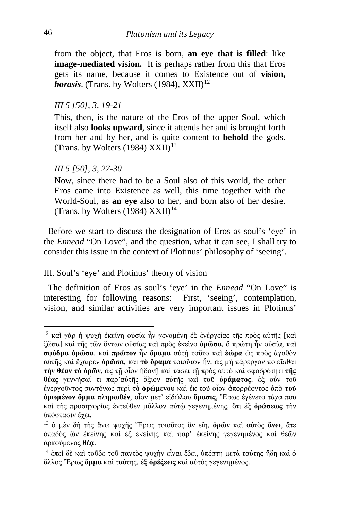from the object, that Eros is born, **an eye that is filled**: like **image-mediated vision.** It is perhaps rather from this that Eros gets its name, because it comes to Existence out of **vision,**  *horasis*. (Trans. by Wolters (1984),  $XXII$ <sup>[12](#page-6-0)</sup>

#### *III 5 [50], 3, 19-21*

This, then, is the nature of the Eros of the upper Soul, which itself also **looks upward**, since it attends her and is brought forth from her and by her, and is quite content to **behold** the gods. (Trans. by Wolters (1984)  $XXII$ )<sup>[13](#page-6-1)</sup>

#### *III 5 [50], 3, 27-30*

Now, since there had to be a Soul also of this world, the other Eros came into Existence as well, this time together with the World-Soul, as **an eye** also to her, and born also of her desire. (Trans. by Wolters (1984)  $XXII$ )<sup>[14](#page-6-2)</sup>

 Before we start to discuss the designation of Eros as soul's 'eye' in the *Ennead* "On Love", and the question, what it can see, I shall try to consider this issue in the context of Plotinus' philosophy of 'seeing'.

### III. Soul's 'eye' and Plotinus' theory of vision

 The definition of Eros as soul's 'eye' in the *Ennead* "On Love" is interesting for following reasons: First, 'seeing', contemplation, vision, and similar activities are very important issues in Plotinus'

<span id="page-6-0"></span><sup>12</sup> καὶ γὰρ <sup>ἡ</sup> ψυχὴ ἐκείνη οὐσία ἦν γενομένη ἐξ ἐνέργείας τῆς πρὸς αὐτῆς [καὶ ζῶσα] καὶ τῆς τῶν ὄντων οὐσίας καὶ πρὸς ἐκεῖνο **ὁρῶσα**, ὅ πρώτη ἦν οὐσία, καὶ **σφόδρα ὁρῶσα**. καὶ **πρώτον** ἦν **ὅραμα** αὐτῇ τοῦτο καὶ **ἑώρα** ὡς πρὸς ἀγαθὸν αὐτῆς καὶ ἔχαιρεν **ὁρῶσα**, καὶ **τὸ ὅραμα** τοιοῦτον ἦν, ὡς μὴ πάρεργον ποιεῖσθαι **τὴν θέαν τὸ ὁρῶν**, ὡς τῇ οἷον ἡδονῇ καὶ τάσει τῇ πρὸς αὐτὸ καὶ σφοδρότητι **τῆς θέας** γεννῆσαί τι παρ'αὑτῆς ἄξιον αὑτῆς καὶ **τοῦ ὁράματος**. ἐξ οὖν τοῦ ἐνεργοῦντος συντόνως περὶ **τὸ ὁρώμενου** καὶ ἐκ τοῦ οἷον ἀπορρέοντος ἀπὸ **τοῦ ὁρωμένον ὄμμα πληρωθέν**, οἷον μετ' εἰδώλου **ὅρασις**, ῎Ερως ἐγένετο τάχα που καὶ τῆς προσηγορίας ἐντεῦθεν μᾶλλον αὐτῷ γεγενημένης, ὅτι ἐξ **ὁράσεως** τὴν ὑπόστασιν ἔχει.

<span id="page-6-1"></span><sup>13</sup> ὁ μὲν δὴ τῆς ἄνω ψυχῆς ῎Ερως τοιοῦτος ἂν εἴη, **ὁρῶν** καὶ αὐτὸς **ἄνω**, ἅτε ὀπαδὸς ὢν ἐκείνης καὶ ἐξ ἐκείνης καὶ παρ' ἐκείνης γεγενημένος καὶ θεῶν ἀρκούμενος **θέᾳ**.

<span id="page-6-2"></span><sup>14</sup> ἐπεὶ δὲ καὶ τοῦδε τοῦ παντὸς ψυχὴν εἶναι ἔδει, ὑπέστη μετὰ ταύτης ἤδη καὶ ὁ ἄλλος ῎Ερως **ὄμμα** καὶ ταύτης, **ἐξ ὀρέξεως** καὶ αὐτὸς γεγενημένος.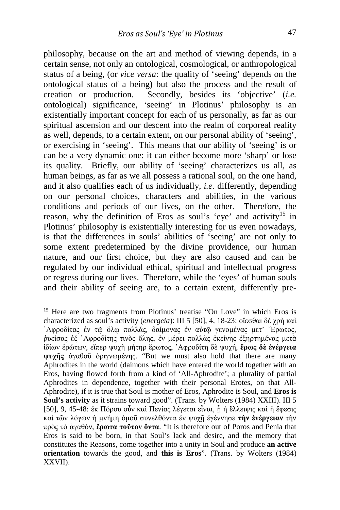philosophy, because on the art and method of viewing depends, in a certain sense, not only an ontological, cosmological, or anthropological status of a being, (or *vice versa*: the quality of 'seeing' depends on the ontological status of a being) but also the process and the result of creation or production. Secondly, besides its 'objective' (*i.e.*  ontological) significance, 'seeing' in Plotinus' philosophy is an existentially important concept for each of us personally, as far as our spiritual ascension and our descent into the realm of corporeal reality as well, depends, to a certain extent, on our personal ability of 'seeing', or exercising in 'seeing'. This means that our ability of 'seeing' is or can be a very dynamic one: it can either become more 'sharp' or lose its quality. Briefly, our ability of 'seeing' characterizes us all, as human beings, as far as we all possess a rational soul, on the one hand, and it also qualifies each of us individually, *i.e.* differently, depending on our personal choices, characters and abilities, in the various conditions and periods of our lives, on the other. Therefore, the reason, why the definition of Eros as soul's 'eye' and activity<sup>[15](#page-7-0)</sup> in Plotinus' philosophy is existentially interesting for us even nowadays, is that the differences in souls' abilities of 'seeing' are not only to some extent predetermined by the divine providence, our human nature, and our first choice, but they are also caused and can be regulated by our individual ethical, spiritual and intellectual progress or regress during our lives. Therefore, while the 'eyes' of human souls and their ability of seeing are, to a certain extent, differently pre-

<span id="page-7-0"></span><sup>&</sup>lt;sup>15</sup> Here are two fragments from Plotinus' treatise "On Love" in which Eros is characterized as soul's activity (*energeia*): III 5 [50], 4, 18-23: οἴεσθαι δὲ χρὴ καὶ ᾽Αφροδίτας ἐν τῷ ὅλῳ πολλάς, δαίμονας ἐν αὐτῷ γενομένας μετ' Ἔρωτος, ῥυείσας ἐξ ᾽Αφροδίτης τινὸς ὅλης, ἐν μέρει πολλὰς ἐκείνης ἐξηρτημένας μετὰ ἰδίων ἐρώτων, εἴπερ ψυχὴ μήτηρ ἔρωτος, ᾽Αφροδίτη δὲ ψυχή, **ἔρως δὲ ἐνέργεια ψυχῆς** ἀγαθοῦ ὀριγνωμένης. "But we must also hold that there are many Aphrodites in the world (daimons which have entered the world together with an Eros, having flowed forth from a kind of 'All-Aphrodite'; a plurality of partial Aphrodites in dependence, together with their personal Erotes, on that All-Aphrodite), if it is true that Soul is mother of Eros, Aphrodite is Soul, and **Eros is Soul's activity** as it strains toward good". (Trans. by Wolters (1984) XXIII). III 5 [50], 9, 45-48: ἐκ Πόρου οὖν καὶ Πενίας λέγεται εἶναι, ᾗ ἡ ἔλλειψις καὶ ἡ ἔφεσις καὶ τῶν λόγων ἡ μνήμη ὁμοῦ συνελθόντα ἐν ψυχῇ ἐγέννησε **τὴν ἐνέργειαν** τὴν πρὸς τὸ ἀγαθόν, **ἔρωτα τοῦτον ὄντα**. "It is therefore out of Poros and Penia that Eros is said to be born, in that Soul's lack and desire, and the memory that constitutes the Reasons, come together into a unity in Soul and produce **an active orientation** towards the good, and **this is Eros**". (Trans. by Wolters (1984) XXVII).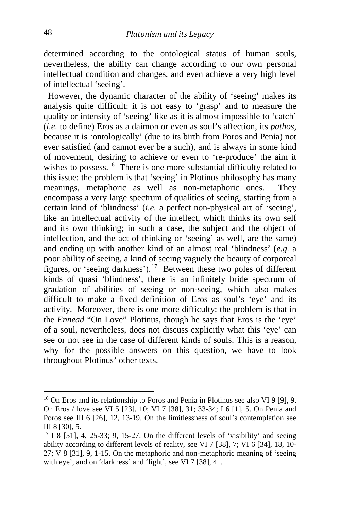determined according to the ontological status of human souls, nevertheless, the ability can change according to our own personal intellectual condition and changes, and even achieve a very high level of intellectual 'seeing'.

 However, the dynamic character of the ability of 'seeing' makes its analysis quite difficult: it is not easy to 'grasp' and to measure the quality or intensity of 'seeing' like as it is almost impossible to 'catch' (*i.e.* to define) Eros as a daimon or even as soul's affection, its *pathos*, because it is 'ontologically' (due to its birth from Poros and Penia) not ever satisfied (and cannot ever be a such), and is always in some kind of movement, desiring to achieve or even to 're-produce' the aim it wishes to possess.<sup>[16](#page-8-0)</sup> There is one more substantial difficulty related to this issue: the problem is that 'seeing' in Plotinus philosophy has many meanings, metaphoric as well as non-metaphoric ones. They encompass a very large spectrum of qualities of seeing, starting from a certain kind of 'blindness' (*i.e.* a perfect non-physical art of 'seeing', like an intellectual activity of the intellect, which thinks its own self and its own thinking; in such a case, the subject and the object of intellection, and the act of thinking or 'seeing' as well, are the same) and ending up with another kind of an almost real 'blindness' (*e.g.* a poor ability of seeing, a kind of seeing vaguely the beauty of corporeal figures, or 'seeing darkness').[17](#page-8-1) Between these two poles of different kinds of quasi 'blindness', there is an infinitely bride spectrum of gradation of abilities of seeing or non-seeing, which also makes difficult to make a fixed definition of Eros as soul's 'eye' and its activity. Moreover, there is one more difficulty: the problem is that in the *Ennead* "On Love" Plotinus, though he says that Eros is the 'eye' of a soul, nevertheless, does not discuss explicitly what this 'eye' can see or not see in the case of different kinds of souls. This is a reason, why for the possible answers on this question, we have to look throughout Plotinus' other texts.

<span id="page-8-0"></span><sup>16</sup> On Eros and its relationship to Poros and Penia in Plotinus see also VI 9 [9], 9. On Eros / love see VI 5 [23], 10; VI 7 [38], 31; 33-34; I 6 [1], 5. On Penia and Poros see III 6 [26], 12, 13-19. On the limitlessness of soul's contemplation see III 8 [30], 5.

<span id="page-8-1"></span> $17$  I 8 [51], 4, 25-33; 9, 15-27. On the different levels of 'visibility' and seeing ability according to different levels of reality, see VI 7 [38], 7; VI 6 [34], 18, 10- 27; V 8 [31], 9, 1-15. On the metaphoric and non-metaphoric meaning of 'seeing with eye', and on 'darkness' and 'light', see VI 7 [38], 41.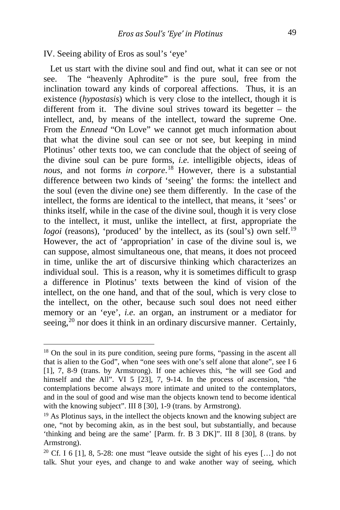#### IV. Seeing ability of Eros as soul's 'eye'

Let us start with the divine soul and find out, what it can see or not see. The "heavenly Aphrodite" is the pure soul, free from the inclination toward any kinds of corporeal affections. Thus, it is an existence (*hypostasis*) which is very close to the intellect, though it is different from it. The divine soul strives toward its begetter – the intellect, and, by means of the intellect, toward the supreme One. From the *Ennead* "On Love" we cannot get much information about that what the divine soul can see or not see, but keeping in mind Plotinus' other texts too, we can conclude that the object of seeing of the divine soul can be pure forms, *i.e.* intelligible objects, ideas of *nous*, and not forms *in corpore*. [18](#page-9-0) However, there is a substantial difference between two kinds of 'seeing' the forms: the intellect and the soul (even the divine one) see them differently. In the case of the intellect, the forms are identical to the intellect, that means, it 'sees' or thinks itself, while in the case of the divine soul, though it is very close to the intellect, it must, unlike the intellect, at first, appropriate the *logoi* (reasons), 'produced' by the intellect, as its (soul's) own self.<sup>[19](#page-9-1)</sup> However, the act of 'appropriation' in case of the divine soul is, we can suppose, almost simultaneous one, that means, it does not proceed in time, unlike the art of discursive thinking which characterizes an individual soul. This is a reason, why it is sometimes difficult to grasp a difference in Plotinus' texts between the kind of vision of the intellect, on the one hand, and that of the soul, which is very close to the intellect, on the other, because such soul does not need either memory or an 'eye', *i.e.* an organ, an instrument or a mediator for seeing, $^{20}$  $^{20}$  $^{20}$  nor does it think in an ordinary discursive manner. Certainly,

<span id="page-9-0"></span><sup>&</sup>lt;sup>18</sup> On the soul in its pure condition, seeing pure forms, "passing in the ascent all that is alien to the God", when "one sees with one's self alone that alone", see I 6 [1], 7, 8-9 (trans. by Armstrong). If one achieves this, "he will see God and himself and the All". VI 5 [23], 7, 9-14. In the process of ascension, "the contemplations become always more intimate and united to the contemplators, and in the soul of good and wise man the objects known tend to become identical with the knowing subject". III 8 [30], 1-9 (trans. by Armstrong).

<span id="page-9-1"></span><sup>&</sup>lt;sup>19</sup> As Plotinus says, in the intellect the objects known and the knowing subject are one, "not by becoming akin, as in the best soul, but substantially, and because 'thinking and being are the same' [Parm. fr. B 3 DK]". III 8 [30], 8 (trans. by Armstrong).

<span id="page-9-2"></span><sup>&</sup>lt;sup>20</sup> Cf. I 6 [1], 8, 5-28: one must "leave outside the sight of his eyes [...] do not talk. Shut your eyes, and change to and wake another way of seeing, which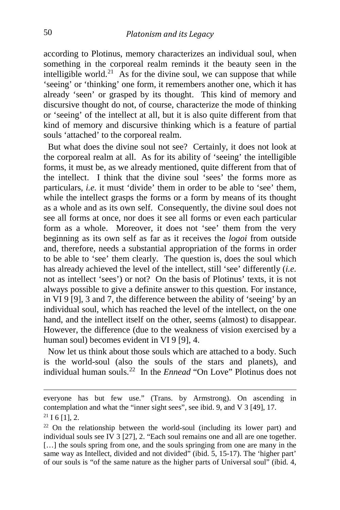according to Plotinus, memory characterizes an individual soul, when something in the corporeal realm reminds it the beauty seen in the intelligible world.<sup>21</sup> As for the divine soul, we can suppose that while 'seeing' or 'thinking' one form, it remembers another one, which it has already 'seen' or grasped by its thought. This kind of memory and discursive thought do not, of course, characterize the mode of thinking or 'seeing' of the intellect at all, but it is also quite different from that kind of memory and discursive thinking which is a feature of partial souls 'attached' to the corporeal realm.

 But what does the divine soul not see? Certainly, it does not look at the corporeal realm at all. As for its ability of 'seeing' the intelligible forms, it must be, as we already mentioned, quite different from that of the intellect. I think that the divine soul 'sees' the forms more as particulars, *i.e.* it must 'divide' them in order to be able to 'see' them, while the intellect grasps the forms or a form by means of its thought as a whole and as its own self. Consequently, the divine soul does not see all forms at once, nor does it see all forms or even each particular form as a whole. Moreover, it does not 'see' them from the very beginning as its own self as far as it receives the *logoi* from outside and, therefore, needs a substantial appropriation of the forms in order to be able to 'see' them clearly. The question is, does the soul which has already achieved the level of the intellect, still 'see' differently (*i.e.* not as intellect 'sees') or not? On the basis of Plotinus' texts, it is not always possible to give a definite answer to this question. For instance, in VI 9 [9], 3 and 7, the difference between the ability of 'seeing' by an individual soul, which has reached the level of the intellect, on the one hand, and the intellect itself on the other, seems (almost) to disappear. However, the difference (due to the weakness of vision exercised by a human soul) becomes evident in VI 9 [9], 4.

 Now let us think about those souls which are attached to a body. Such is the world-soul (also the souls of the stars and planets), and individual human souls.[22](#page-10-1) In the *Ennead* "On Love" Plotinus does not

everyone has but few use." (Trans. by Armstrong). On ascending in contemplation and what the "inner sight sees", see ibid. 9, and V 3 [49], 17.  $21$  I 6 [1], 2.

<span id="page-10-1"></span><span id="page-10-0"></span> $22$  On the relationship between the world-soul (including its lower part) and individual souls see IV 3 [27], 2. "Each soul remains one and all are one together. [...] the souls spring from one, and the souls springing from one are many in the same way as Intellect, divided and not divided" (ibid. 5, 15-17). The 'higher part' of our souls is "of the same nature as the higher parts of Universal soul" (ibid. 4,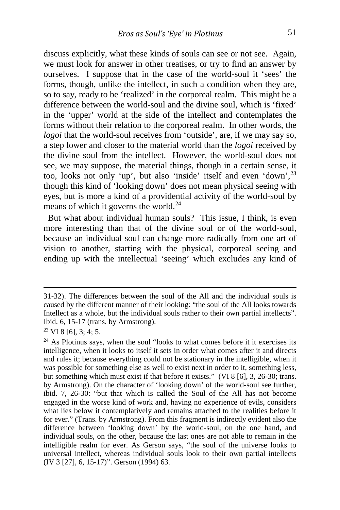discuss explicitly, what these kinds of souls can see or not see. Again, we must look for answer in other treatises, or try to find an answer by ourselves. I suppose that in the case of the world-soul it 'sees' the forms, though, unlike the intellect, in such a condition when they are, so to say, ready to be 'realized' in the corporeal realm. This might be a difference between the world-soul and the divine soul, which is 'fixed' in the 'upper' world at the side of the intellect and contemplates the forms without their relation to the corporeal realm. In other words, the *logoi* that the world-soul receives from 'outside', are, if we may say so, a step lower and closer to the material world than the *logoi* received by the divine soul from the intellect. However, the world-soul does not see, we may suppose, the material things, though in a certain sense, it too, looks not only 'up', but also 'inside' itself and even 'down',<sup>[23](#page-11-0)</sup> though this kind of 'looking down' does not mean physical seeing with eyes, but is more a kind of a providential activity of the world-soul by means of which it governs the world. $^{24}$  $^{24}$  $^{24}$ 

 But what about individual human souls? This issue, I think, is even more interesting than that of the divine soul or of the world-soul, because an individual soul can change more radically from one art of vision to another, starting with the physical, corporeal seeing and ending up with the intellectual 'seeing' which excludes any kind of

31-32). The differences between the soul of the All and the individual souls is caused by the different manner of their looking: "the soul of the All looks towards Intellect as a whole, but the individual souls rather to their own partial intellects". Ibid. 6, 15-17 (trans. by Armstrong).

<span id="page-11-0"></span> $23$  VI 8 [6], 3; 4; 5.

<span id="page-11-1"></span> $24$  As Plotinus says, when the soul "looks to what comes before it it exercises its intelligence, when it looks to itself it sets in order what comes after it and directs and rules it; because everything could not be stationary in the intelligible, when it was possible for something else as well to exist next in order to it, something less, but something which must exist if that before it exists." (VI 8 [6], 3, 26-30; trans. by Armstrong). On the character of 'looking down' of the world-soul see further, ibid. 7, 26-30: "but that which is called the Soul of the All has not become engaged in the worse kind of work and, having no experience of evils, considers what lies below it contemplatively and remains attached to the realities before it for ever." (Trans. by Armstrong). From this fragment is indirectly evident also the difference between 'looking down' by the world-soul, on the one hand, and individual souls, on the other, because the last ones are not able to remain in the intelligible realm for ever. As Gerson says, "the soul of the universe looks to universal intellect, whereas individual souls look to their own partial intellects (IV 3 [27], 6, 15-17)". Gerson (1994) 63.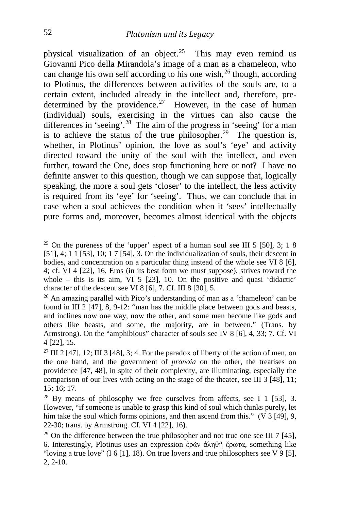physical visualization of an object.<sup>[25](#page-12-0)</sup> This may even remind us Giovanni Pico della Mirandola's image of a man as a chameleon, who can change his own self according to his one wish,  $^{26}$  $^{26}$  $^{26}$  though, according to Plotinus, the differences between activities of the souls are, to a certain extent, included already in the intellect and, therefore, pre-determined by the providence.<sup>[27](#page-12-2)</sup> However, in the case of human (individual) souls, exercising in the virtues can also cause the differences in 'seeing'.<sup>28</sup> The aim of the progress in 'seeing' for a man is to achieve the status of the true philosopher.<sup>[29](#page-12-4)</sup> The question is, whether, in Plotinus' opinion, the love as soul's 'eye' and activity directed toward the unity of the soul with the intellect, and even further, toward the One, does stop functioning here or not? I have no definite answer to this question, though we can suppose that, logically speaking, the more a soul gets 'closer' to the intellect, the less activity is required from its 'eye' for 'seeing'. Thus, we can conclude that in case when a soul achieves the condition when it 'sees' intellectually pure forms and, moreover, becomes almost identical with the objects

<span id="page-12-0"></span><sup>&</sup>lt;sup>25</sup> On the pureness of the 'upper' aspect of a human soul see III 5 [50], 3; 1 8 [51], 4; 1 1 [53], 10; 1 7 [54], 3. On the individualization of souls, their descent in bodies, and concentration on a particular thing instead of the whole see VI 8 [6], 4; cf. VI 4 [22], 16. Eros (in its best form we must suppose), strives toward the whole – this is its aim, VI 5 [23], 10. On the positive and quasi 'didactic' character of the descent see VI 8 [6], 7. Cf. III 8 [30], 5.

<span id="page-12-1"></span><sup>&</sup>lt;sup>26</sup> An amazing parallel with Pico's understanding of man as a 'chameleon' can be found in III 2 [47], 8, 9-12: "man has the middle place between gods and beasts, and inclines now one way, now the other, and some men become like gods and others like beasts, and some, the majority, are in between." (Trans. by Armstrong). On the "amphibious" character of souls see IV 8 [6], 4, 33; 7. Cf. VI 4 [22], 15.

<span id="page-12-2"></span><sup>&</sup>lt;sup>27</sup> III 2 [47], 12; III 3 [48], 3; 4. For the paradox of liberty of the action of men, on the one hand, and the government of *pronoia* on the other, the treatises on providence [47, 48], in spite of their complexity, are illuminating, especially the comparison of our lives with acting on the stage of the theater, see III 3 [48], 11; 15; 16; 17.

<span id="page-12-3"></span> $28$  By means of philosophy we free ourselves from affects, see I 1 [53], 3. However, "if someone is unable to grasp this kind of soul which thinks purely, let him take the soul which forms opinions, and then ascend from this." (V 3 [49], 9, 22-30; trans. by Armstrong. Cf. VI 4 [22], 16).

<span id="page-12-4"></span><sup>&</sup>lt;sup>29</sup> On the difference between the true philosopher and not true one see III 7 [45], 6. Interestingly, Plotinus uses an expression ἐρᾶν ἀληθῆ ἔρωτα, something like "loving a true love"  $(I 6 [1], 18)$ . On true lovers and true philosophers see V 9 [5], 2, 2-10.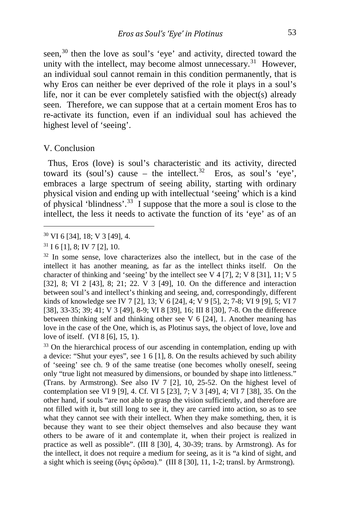seen,<sup>[30](#page-13-0)</sup> then the love as soul's 'eye' and activity, directed toward the unity with the intellect, may become almost unnecessary.<sup>[31](#page-13-1)</sup> However, an individual soul cannot remain in this condition permanently, that is why Eros can neither be ever deprived of the role it plays in a soul's life, nor it can be ever completely satisfied with the object(s) already seen. Therefore, we can suppose that at a certain moment Eros has to re-activate its function, even if an individual soul has achieved the highest level of 'seeing'.

#### V. Conclusion

j

 Thus, Eros (love) is soul's characteristic and its activity, directed toward its (soul's) cause – the intellect.<sup>[32](#page-13-2)</sup> Eros, as soul's 'eye', embraces a large spectrum of seeing ability, starting with ordinary physical vision and ending up with intellectual 'seeing' which is a kind of physical 'blindness'.<sup>[33](#page-13-3)</sup> I suppose that the more a soul is close to the intellect, the less it needs to activate the function of its 'eye' as of an

<span id="page-13-0"></span><sup>30</sup> VI 6 [34], 18; V 3 [49], 4.

<span id="page-13-1"></span> $31$  I 6 [1], 8; IV 7 [2], 10.

<span id="page-13-2"></span><sup>&</sup>lt;sup>32</sup> In some sense, love characterizes also the intellect, but in the case of the intellect it has another meaning, as far as the intellect thinks itself. On the character of thinking and 'seeing' by the intellect see V 4 [7], 2; V 8 [31], 11; V 5 [32], 8; VI 2 [43], 8; 21; 22. V 3 [49], 10. On the difference and interaction between soul's and intellect's thinking and seeing, and, correspondingly, different kinds of knowledge see IV 7 [2], 13; V 6 [24], 4; V 9 [5], 2; 7-8; VI 9 [9], 5; VI 7 [38], 33-35; 39; 41; V 3 [49], 8-9; VI 8 [39], 16; III 8 [30], 7-8. On the difference between thinking self and thinking other see V 6 [24], 1. Another meaning has love in the case of the One, which is, as Plotinus says, the object of love, love and love of itself. (VI 8 [6], 15, 1).

<span id="page-13-3"></span><sup>&</sup>lt;sup>33</sup> On the hierarchical process of our ascending in contemplation, ending up with a device: "Shut your eyes", see 1 6 [1], 8. On the results achieved by such ability of 'seeing' see ch. 9 of the same treatise (one becomes wholly oneself, seeing only "true light not measured by dimensions, or bounded by shape into littleness." (Trans. by Armstrong). See also IV 7 [2], 10, 25-52. On the highest level of contemplation see VI 9 [9], 4. Cf. VI 5 [23], 7; V 3 [49], 4; VI 7 [38], 35. On the other hand, if souls "are not able to grasp the vision sufficiently, and therefore are not filled with it, but still long to see it, they are carried into action, so as to see what they cannot see with their intellect. When they make something, then, it is because they want to see their object themselves and also because they want others to be aware of it and contemplate it, when their project is realized in practice as well as possible". (III 8 [30], 4, 30-39; trans. by Armstrong). As for the intellect, it does not require a medium for seeing, as it is "a kind of sight, and a sight which is seeing (ὄψις ὁρῶσα)." (III 8 [30], 11, 1-2; transl. by Armstrong).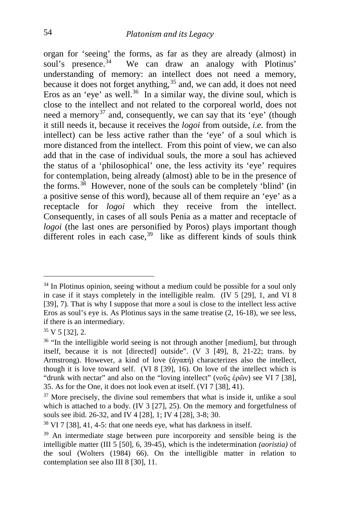organ for 'seeing' the forms, as far as they are already (almost) in soul's presence.<sup>34</sup> We can draw an analogy with Plotinus' We can draw an analogy with Plotinus' understanding of memory: an intellect does not need a memory, because it does not forget anything,<sup>[35](#page-14-1)</sup> and, we can add, it does not need Eros as an 'eye' as well.<sup>[36](#page-14-2)</sup> In a similar way, the divine soul, which is close to the intellect and not related to the corporeal world, does not need a memory<sup>[37](#page-14-3)</sup> and, consequently, we can say that its 'eye' (though it still needs it, because it receives the *logoi* from outside, *i.e.* from the intellect) can be less active rather than the 'eye' of a soul which is more distanced from the intellect. From this point of view, we can also add that in the case of individual souls, the more a soul has achieved the status of a 'philosophical' one, the less activity its 'eye' requires for contemplation, being already (almost) able to be in the presence of the forms.<sup>38</sup> However, none of the souls can be completely 'blind' (in a positive sense of this word), because all of them require an 'eye' as a receptacle for *logoi* which they receive from the intellect. Consequently, in cases of all souls Penia as a matter and receptacle of *logoi* (the last ones are personified by Poros) plays important though different roles in each case.<sup>39</sup> like as different kinds of souls think

<span id="page-14-0"></span> $34$  In Plotinus opinion, seeing without a medium could be possible for a soul only in case if it stays completely in the intelligible realm. (IV 5 [29], 1, and VI 8 [39], 7). That is why I suppose that more a soul is close to the intellect less active Eros as soul's eye is. As Plotinus says in the same treatise (2, 16-18), we see less, if there is an intermediary.

<span id="page-14-1"></span> $35 \text{ V} 5$  [32], 2.

<span id="page-14-2"></span><sup>&</sup>lt;sup>36</sup> "In the intelligible world seeing is not through another [medium], but through itself, because it is not [directed] outside". (V 3 [49], 8, 21-22; trans. by Armstrong). However, a kind of love (ἀγαπή) characterizes also the intellect, though it is love toward self. (VI 8 [39], 16). On love of the intellect which is "drunk with nectar" and also on the "loving intellect" (νοῦς ἐρῶν) see VI 7 [38], 35. As for the One, it does not look even at itself. (VI 7 [38], 41).

<span id="page-14-3"></span> $37$  More precisely, the divine soul remembers that what is inside it, unlike a soul which is attached to a body. (IV 3 [27], 25). On the memory and forgetfulness of souls see ibid. 26-32, and IV 4 [28], 1; IV 4 [28], 3-8; 30.

<span id="page-14-4"></span><sup>38</sup> VI 7 [38], 41, 4-5: that one needs eye, what has darkness in itself.

<span id="page-14-5"></span><sup>&</sup>lt;sup>39</sup> An intermediate stage between pure incorporeity and sensible being is the intelligible matter (III 5 [50], 6, 39-45), which is the indetermination *(aoristia)* of the soul (Wolters (1984) 66). On the intelligible matter in relation to contemplation see also III 8 [30], 11.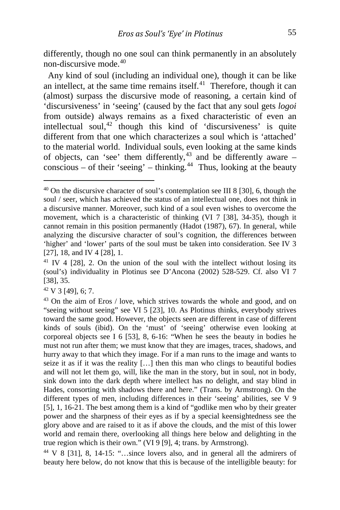differently, though no one soul can think permanently in an absolutely non-discursive mode <sup>40</sup>

 Any kind of soul (including an individual one), though it can be like an intellect, at the same time remains itself. $41$  Therefore, though it can (almost) surpass the discursive mode of reasoning, a certain kind of 'discursiveness' in 'seeing' (caused by the fact that any soul gets *logoi*  from outside) always remains as a fixed characteristic of even an intellectual soul, $42$  though this kind of 'discursiveness' is quite different from that one which characterizes a soul which is 'attached' to the material world. Individual souls, even looking at the same kinds of objects, can 'see' them differently,<sup>[43](#page-15-3)</sup> and be differently aware – conscious – of their 'seeing' – thinking.<sup>[44](#page-15-4)</sup> Thus, looking at the beauty

<span id="page-15-2"></span> $42 \text{ V }$  3 [49], 6: 7.

<span id="page-15-0"></span><sup>&</sup>lt;sup>40</sup> On the discursive character of soul's contemplation see III 8 [30], 6, though the soul / seer, which has achieved the status of an intellectual one, does not think in a discursive manner. Moreover, such kind of a soul even wishes to overcome the movement, which is a characteristic of thinking (VI 7 [38], 34-35), though it cannot remain in this position permanently (Hadot (1987), 67). In general, while analyzing the discursive character of soul's cognition, the differences between 'higher' and 'lower' parts of the soul must be taken into consideration. See IV 3 [27], 18, and IV 4 [28], 1.

<span id="page-15-1"></span> $41$  IV 4 [28], 2. On the union of the soul with the intellect without losing its (soul's) individuality in Plotinus see D'Ancona (2002) 528-529. Cf. also VI 7 [38], 35.

<span id="page-15-3"></span><sup>&</sup>lt;sup>43</sup> On the aim of Eros / love, which strives towards the whole and good, and on "seeing without seeing" see VI 5 [23], 10. As Plotinus thinks, everybody strives toward the same good. However, the objects seen are different in case of different kinds of souls (ibid). On the 'must' of 'seeing' otherwise even looking at corporeal objects see I 6 [53], 8, 6-16: "When he sees the beauty in bodies he must not run after them; we must know that they are images, traces, shadows, and hurry away to that which they image. For if a man runs to the image and wants to seize it as if it was the reality […] then this man who clings to beautiful bodies and will not let them go, will, like the man in the story, but in soul, not in body, sink down into the dark depth where intellect has no delight, and stay blind in Hades, consorting with shadows there and here." (Trans. by Armstrong). On the different types of men, including differences in their 'seeing' abilities, see V 9 [5], 1, 16-21. The best among them is a kind of "godlike men who by their greater power and the sharpness of their eyes as if by a special keensightedness see the glory above and are raised to it as if above the clouds, and the mist of this lower world and remain there, overlooking all things here below and delighting in the true region which is their own." (VI 9 [9], 4; trans. by Armstrong).

<span id="page-15-4"></span><sup>44</sup> V 8 [31], 8, 14-15: "…since lovers also, and in general all the admirers of beauty here below, do not know that this is because of the intelligible beauty: for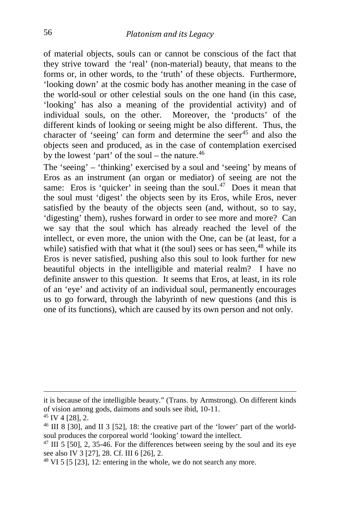of material objects, souls can or cannot be conscious of the fact that they strive toward the 'real' (non-material) beauty, that means to the forms or, in other words, to the 'truth' of these objects. Furthermore, 'looking down' at the cosmic body has another meaning in the case of the world-soul or other celestial souls on the one hand (in this case, 'looking' has also a meaning of the providential activity) and of individual souls, on the other. Moreover, the 'products' of the different kinds of looking or seeing might be also different. Thus, the character of 'seeing' can form and determine the seer $45$  and also the objects seen and produced, as in the case of contemplation exercised by the lowest 'part' of the soul – the nature.<sup>[46](#page-16-1)</sup>

The 'seeing' – 'thinking' exercised by a soul and 'seeing' by means of Eros as an instrument (an organ or mediator) of seeing are not the same: Eros is 'quicker' in seeing than the soul.<sup>[47](#page-16-2)</sup> Does it mean that the soul must 'digest' the objects seen by its Eros, while Eros, never satisfied by the beauty of the objects seen (and, without, so to say, 'digesting' them), rushes forward in order to see more and more? Can we say that the soul which has already reached the level of the intellect, or even more, the union with the One, can be (at least, for a while) satisfied with that what it (the soul) sees or has seen, $48$  while its Eros is never satisfied, pushing also this soul to look further for new beautiful objects in the intelligible and material realm? I have no definite answer to this question. It seems that Eros, at least, in its role of an 'eye' and activity of an individual soul, permanently encourages us to go forward, through the labyrinth of new questions (and this is one of its functions), which are caused by its own person and not only.

it is because of the intelligible beauty." (Trans. by Armstrong). On different kinds of vision among gods, daimons and souls see ibid, 10-11. 45 IV 4 [28], 2.

<span id="page-16-0"></span>

<span id="page-16-1"></span><sup>&</sup>lt;sup>46</sup> III 8 [30], and II 3 [52], 18: the creative part of the 'lower' part of the worldsoul produces the corporeal world 'looking' toward the intellect.

<span id="page-16-2"></span> $47$  III 5 [50], 2, 35-46. For the differences between seeing by the soul and its eye see also IV 3 [27], 28. Cf. III 6 [26], 2.

<span id="page-16-3"></span><sup>48</sup> VI 5 [5 [23], 12: entering in the whole, we do not search any more.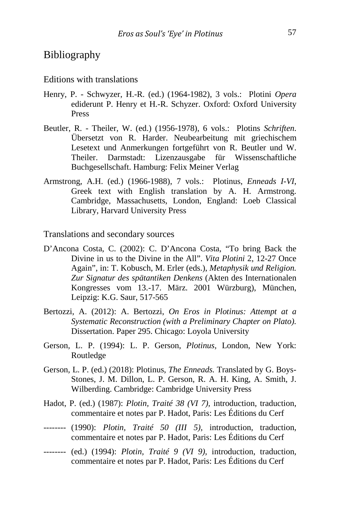## Bibliography

#### Editions with translations

- Henry, P. Schwyzer, H.-R. (ed.) (1964-1982), 3 vols.: Plotini *Opera* ediderunt P. Henry et H.-R. Schyzer. Oxford: Oxford University Press
- Beutler, R. Theiler, W. (ed.) (1956-1978), 6 vols.: Plotins *Schriften*. Übersetzt von R. Harder. Neubearbeitung mit griechischem Lesetext und Anmerkungen fortgeführt von R. Beutler und W. Theiler. Darmstadt: Lizenzausgabe für Wissenschaftliche Buchgesellschaft. Hamburg: Felix Meiner Verlag
- Armstrong, A.H. (ed.) (1966-1988), 7 vols.: Plotinus, *Enneads I-VI*, Greek text with English translation by A. H. Armstrong. Cambridge, Massachusetts, London, England: Loeb Classical Library, Harvard University Press

Translations and secondary sources

- D'Ancona Costa, C. (2002): C. D'Ancona Costa, "To bring Back the Divine in us to the Divine in the All". *Vita Plotini* 2, 12-27 Once Again", in: T. Kobusch, M. Erler (eds.), *Metaphysik und Religion. Zur Signatur des spätantiken Denkens* (Akten des Internationalen Kongresses vom 13.-17. März. 2001 Würzburg), München, Leipzig: K.G. Saur, 517-565
- Bertozzi, A. (2012): A. Bertozzi, *On Eros in Plotinus: Attempt at a Systematic Reconstruction (with a Preliminary Chapter on Plato).*  Dissertation. Paper 295. Chicago: Loyola University
- Gerson*,* L. P. (1994): L. P. Gerson, *Plotinus,* London, New York: Routledge
- Gerson*,* L. P. (ed.) (2018): Plotinus, *The Enneads.* Translated by G. Boys-Stones, J. M. Dillon, L. P. Gerson, R. A. H. King, A. Smith, J. Wilberding. Cambridge: Cambridge University Press
- Hadot, P. (ed.) (1987): *Plotin, Traité 38 (VI 7),* introduction, traduction, commentaire et notes par P. Hadot, Paris: Les Éditions du Cerf
- -------- (1990): *Plotin, Traité 50 (III 5),* introduction, traduction, commentaire et notes par P. Hadot, Paris: Les Éditions du Cerf
- -------- (ed.) (1994): *Plotin, Traité 9 (VI 9),* introduction, traduction, commentaire et notes par P. Hadot, Paris: Les Éditions du Cerf